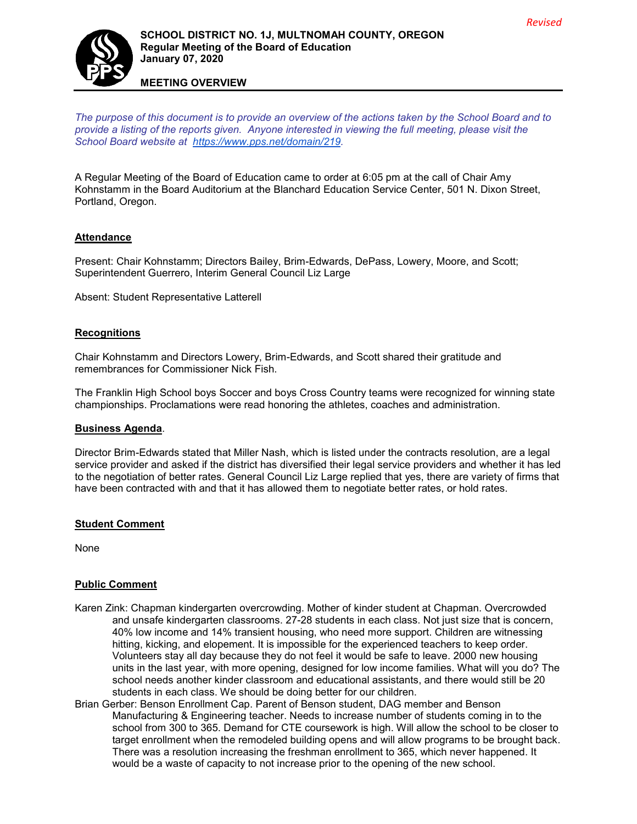

# **SCHOOL DISTRICT NO. 1J, MULTNOMAH COUNTY, OREGON Regular Meeting of the Board of Education January 07, 2020**

**MEETING OVERVIEW**

*The purpose of this document is to provide an overview of the actions taken by the School Board and to provide a listing of the reports given. Anyone interested in viewing the full meeting, please visit the School Board website at [https://www.pps.net/domain/219.](https://www.pps.net/domain/219)*

A Regular Meeting of the Board of Education came to order at 6:05 pm at the call of Chair Amy Kohnstamm in the Board Auditorium at the Blanchard Education Service Center, 501 N. Dixon Street, Portland, Oregon.

# **Attendance**

Present: Chair Kohnstamm; Directors Bailey, Brim-Edwards, DePass, Lowery, Moore, and Scott; Superintendent Guerrero, Interim General Council Liz Large

Absent: Student Representative Latterell

#### **Recognitions**

Chair Kohnstamm and Directors Lowery, Brim-Edwards, and Scott shared their gratitude and remembrances for Commissioner Nick Fish.

The Franklin High School boys Soccer and boys Cross Country teams were recognized for winning state championships. Proclamations were read honoring the athletes, coaches and administration.

#### **Business Agenda**.

Director Brim-Edwards stated that Miller Nash, which is listed under the contracts resolution, are a legal service provider and asked if the district has diversified their legal service providers and whether it has led to the negotiation of better rates. General Council Liz Large replied that yes, there are variety of firms that have been contracted with and that it has allowed them to negotiate better rates, or hold rates.

#### **Student Comment**

None

### **Public Comment**

- Karen Zink: Chapman kindergarten overcrowding. Mother of kinder student at Chapman. Overcrowded and unsafe kindergarten classrooms. 27-28 students in each class. Not just size that is concern, 40% low income and 14% transient housing, who need more support. Children are witnessing hitting, kicking, and elopement. It is impossible for the experienced teachers to keep order. Volunteers stay all day because they do not feel it would be safe to leave. 2000 new housing units in the last year, with more opening, designed for low income families. What will you do? The school needs another kinder classroom and educational assistants, and there would still be 20 students in each class. We should be doing better for our children.
- Brian Gerber: Benson Enrollment Cap. Parent of Benson student, DAG member and Benson Manufacturing & Engineering teacher. Needs to increase number of students coming in to the school from 300 to 365. Demand for CTE coursework is high. Will allow the school to be closer to target enrollment when the remodeled building opens and will allow programs to be brought back. There was a resolution increasing the freshman enrollment to 365, which never happened. It would be a waste of capacity to not increase prior to the opening of the new school.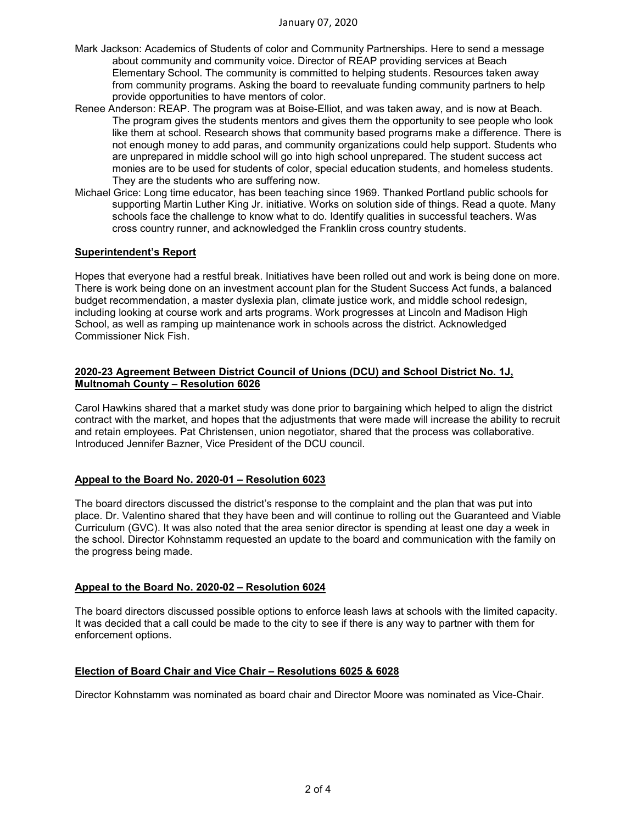- Mark Jackson: Academics of Students of color and Community Partnerships. Here to send a message about community and community voice. Director of REAP providing services at Beach Elementary School. The community is committed to helping students. Resources taken away from community programs. Asking the board to reevaluate funding community partners to help provide opportunities to have mentors of color.
- Renee Anderson: REAP. The program was at Boise-Elliot, and was taken away, and is now at Beach. The program gives the students mentors and gives them the opportunity to see people who look like them at school. Research shows that community based programs make a difference. There is not enough money to add paras, and community organizations could help support. Students who are unprepared in middle school will go into high school unprepared. The student success act monies are to be used for students of color, special education students, and homeless students. They are the students who are suffering now.
- Michael Grice: Long time educator, has been teaching since 1969. Thanked Portland public schools for supporting Martin Luther King Jr. initiative. Works on solution side of things. Read a quote. Many schools face the challenge to know what to do. Identify qualities in successful teachers. Was cross country runner, and acknowledged the Franklin cross country students.

### **Superintendent's Report**

Hopes that everyone had a restful break. Initiatives have been rolled out and work is being done on more. There is work being done on an investment account plan for the Student Success Act funds, a balanced budget recommendation, a master dyslexia plan, climate justice work, and middle school redesign, including looking at course work and arts programs. Work progresses at Lincoln and Madison High School, as well as ramping up maintenance work in schools across the district. Acknowledged Commissioner Nick Fish.

### **2020-23 Agreement Between District Council of Unions (DCU) and School District No. 1J, Multnomah County – Resolution 6026**

Carol Hawkins shared that a market study was done prior to bargaining which helped to align the district contract with the market, and hopes that the adjustments that were made will increase the ability to recruit and retain employees. Pat Christensen, union negotiator, shared that the process was collaborative. Introduced Jennifer Bazner, Vice President of the DCU council.

### **Appeal to the Board No. 2020-01 – Resolution 6023**

The board directors discussed the district's response to the complaint and the plan that was put into place. Dr. Valentino shared that they have been and will continue to rolling out the Guaranteed and Viable Curriculum (GVC). It was also noted that the area senior director is spending at least one day a week in the school. Director Kohnstamm requested an update to the board and communication with the family on the progress being made.

### **Appeal to the Board No. 2020-02 – Resolution 6024**

The board directors discussed possible options to enforce leash laws at schools with the limited capacity. It was decided that a call could be made to the city to see if there is any way to partner with them for enforcement options.

### **Election of Board Chair and Vice Chair – Resolutions 6025 & 6028**

Director Kohnstamm was nominated as board chair and Director Moore was nominated as Vice-Chair.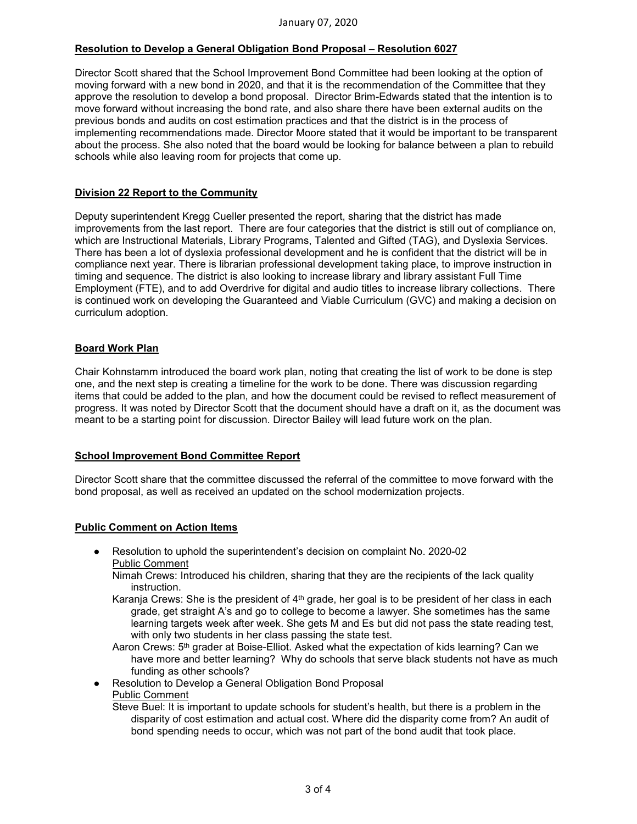# **Resolution to Develop a General Obligation Bond Proposal – Resolution 6027**

Director Scott shared that the School Improvement Bond Committee had been looking at the option of moving forward with a new bond in 2020, and that it is the recommendation of the Committee that they approve the resolution to develop a bond proposal. Director Brim-Edwards stated that the intention is to move forward without increasing the bond rate, and also share there have been external audits on the previous bonds and audits on cost estimation practices and that the district is in the process of implementing recommendations made. Director Moore stated that it would be important to be transparent about the process. She also noted that the board would be looking for balance between a plan to rebuild schools while also leaving room for projects that come up.

### **Division 22 Report to the Community**

Deputy superintendent Kregg Cueller presented the report, sharing that the district has made improvements from the last report. There are four categories that the district is still out of compliance on, which are Instructional Materials, Library Programs, Talented and Gifted (TAG), and Dyslexia Services. There has been a lot of dyslexia professional development and he is confident that the district will be in compliance next year. There is librarian professional development taking place, to improve instruction in timing and sequence. The district is also looking to increase library and library assistant Full Time Employment (FTE), and to add Overdrive for digital and audio titles to increase library collections. There is continued work on developing the Guaranteed and Viable Curriculum (GVC) and making a decision on curriculum adoption.

#### **Board Work Plan**

Chair Kohnstamm introduced the board work plan, noting that creating the list of work to be done is step one, and the next step is creating a timeline for the work to be done. There was discussion regarding items that could be added to the plan, and how the document could be revised to reflect measurement of progress. It was noted by Director Scott that the document should have a draft on it, as the document was meant to be a starting point for discussion. Director Bailey will lead future work on the plan.

#### **School Improvement Bond Committee Report**

Director Scott share that the committee discussed the referral of the committee to move forward with the bond proposal, as well as received an updated on the school modernization projects.

#### **Public Comment on Action Items**

- Resolution to uphold the superintendent's decision on complaint No. 2020-02 Public Comment
	- Nimah Crews: Introduced his children, sharing that they are the recipients of the lack quality instruction.
	- Karanja Crews: She is the president of 4<sup>th</sup> grade, her goal is to be president of her class in each grade, get straight A's and go to college to become a lawyer. She sometimes has the same learning targets week after week. She gets M and Es but did not pass the state reading test, with only two students in her class passing the state test.
	- Aaron Crews: 5<sup>th</sup> grader at Boise-Elliot. Asked what the expectation of kids learning? Can we have more and better learning? Why do schools that serve black students not have as much funding as other schools?
- Resolution to Develop a General Obligation Bond Proposal
- Public Comment

Steve Buel: It is important to update schools for student's health, but there is a problem in the disparity of cost estimation and actual cost. Where did the disparity come from? An audit of bond spending needs to occur, which was not part of the bond audit that took place.